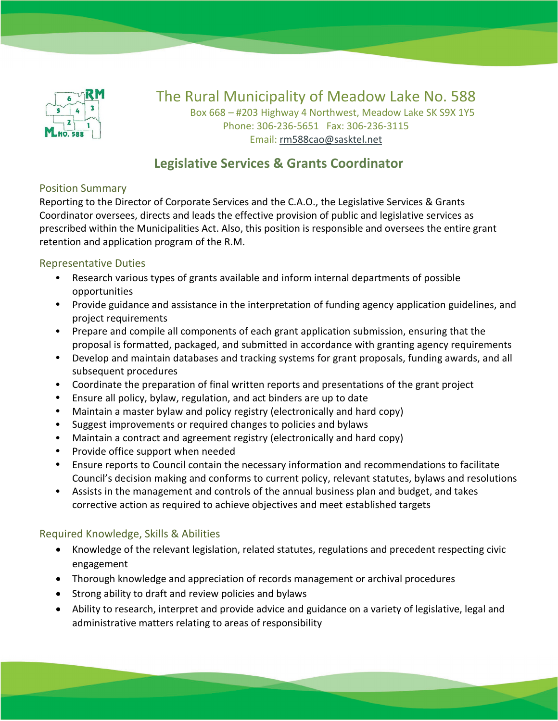

# The Rural Municipality of Meadow Lake No. 588

Box 668 – #203 Highway 4 Northwest, Meadow Lake SK S9X 1Y5 Phone: 306-236-5651 Fax: 306-236-3115 Email: [rm588cao@sasktel.net](mailto:rm588cao@sasktel.net)

## **Legislative Services & Grants Coordinator**

#### Position Summary

Reporting to the Director of Corporate Services and the C.A.O., the Legislative Services & Grants Coordinator oversees, directs and leads the effective provision of public and legislative services as prescribed within the Municipalities Act. Also, this position is responsible and oversees the entire grant retention and application program of the R.M.

#### Representative Duties

- Research various types of grants available and inform internal departments of possible opportunities
- Provide guidance and assistance in the interpretation of funding agency application guidelines, and project requirements
- Prepare and compile all components of each grant application submission, ensuring that the proposal is formatted, packaged, and submitted in accordance with granting agency requirements
- Develop and maintain databases and tracking systems for grant proposals, funding awards, and all subsequent procedures
- Coordinate the preparation of final written reports and presentations of the grant project
- Ensure all policy, bylaw, regulation, and act binders are up to date
- Maintain a master bylaw and policy registry (electronically and hard copy)
- Suggest improvements or required changes to policies and bylaws
- Maintain a contract and agreement registry (electronically and hard copy)
- Provide office support when needed
- Ensure reports to Council contain the necessary information and recommendations to facilitate Council's decision making and conforms to current policy, relevant statutes, bylaws and resolutions
- Assists in the management and controls of the annual business plan and budget, and takes corrective action as required to achieve objectives and meet established targets

### Required Knowledge, Skills & Abilities

- Knowledge of the relevant legislation, related statutes, regulations and precedent respecting civic engagement
- Thorough knowledge and appreciation of records management or archival procedures
- Strong ability to draft and review policies and bylaws
- Ability to research, interpret and provide advice and guidance on a variety of legislative, legal and administrative matters relating to areas of responsibility